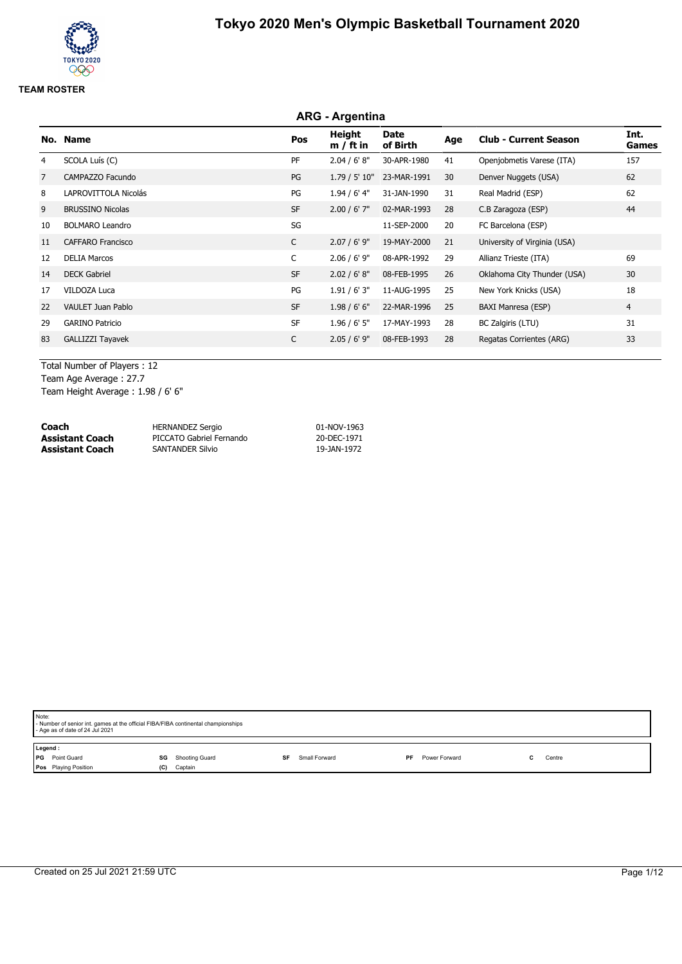# **ARG - Argentina No. Name Pos Height m / ft in Date of Birth Age Club - Current Season Int. Games** 4 SCOLA Luís (C) PF 2.04 / 6' 8" 30-APR-1980 41 Openjobmetis Varese (ITA) 157 7 CAMPAZZO Facundo **PG 1.79 / 5' 10" 23-MAR-1991 30** Denver Nuggets (USA) 62 8 LAPROVITTOLA Nicolás en el estableceu en el estableceu en el estableceu en el estableceu en el estableceu en e 9 BRUSSINO Nicolas SF 2.00 / 6' 7" 02-MAR-1993 28 C.B Zaragoza (ESP) 44 10 BOLMARO Leandro **11-SEP-2000** 20 FC Barcelona (ESP) 11 CAFFARO Francisco C 2.07 / 6' 9" 19-MAY-2000 21 University of Virginia (USA) 12 DELIA Marcos C 2.06 / 6' 9" 08-APR-1992 29 Allianz Trieste (ITA) 69 14 DECK Gabriel SF 2.02 / 6' 8" 08-FEB-1995 26 Oklahoma City Thunder (USA) 30 17 VILDOZA Luca PG 1.91 / 6' 3" 11-AUG-1995 25 New York Knicks (USA) 18 22 VAULET Juan Pablo 30 Computer Computer Strategy SF 3.98 / 6' 6" 22-MAR-1996 25 BAXI Manresa (ESP) 4 29 GARINO Patricio SF 1.96 / 6' 5" 17-MAY-1993 28 BC Zalgiris (LTU) 31 83 GALLIZZI Tayavek 23 C 2.05 / 6' 9" 08-FEB-1993 28 Regatas Corrientes (ARG) 33

Total Number of Players : 12 Team Age Average : 27.7

Team Height Average : 1.98 / 6' 6"

| Coach                  | HERNANDEZ Sergio         | 01-NOV-1963 |
|------------------------|--------------------------|-------------|
| <b>Assistant Coach</b> | PICCATO Gabriel Fernando | 20-DEC-1971 |
| <b>Assistant Coach</b> | <b>SANTANDER Silvio</b>  | 19-JAN-1972 |

|         | Note:<br>- Number of senior int. games at the official FIBA/FIBA continental championships<br>- Age as of date of 24 Jul 2021 |     |                |  |               |     |               |        |
|---------|-------------------------------------------------------------------------------------------------------------------------------|-----|----------------|--|---------------|-----|---------------|--------|
| Legend: |                                                                                                                               |     |                |  |               |     |               |        |
|         | <b>PG</b> Point Guard                                                                                                         | SG  | Shooting Guard |  | Small Forward | PF. | Power Forward | Centre |
|         | Pos Playing Position                                                                                                          | (C) | Captain        |  |               |     |               |        |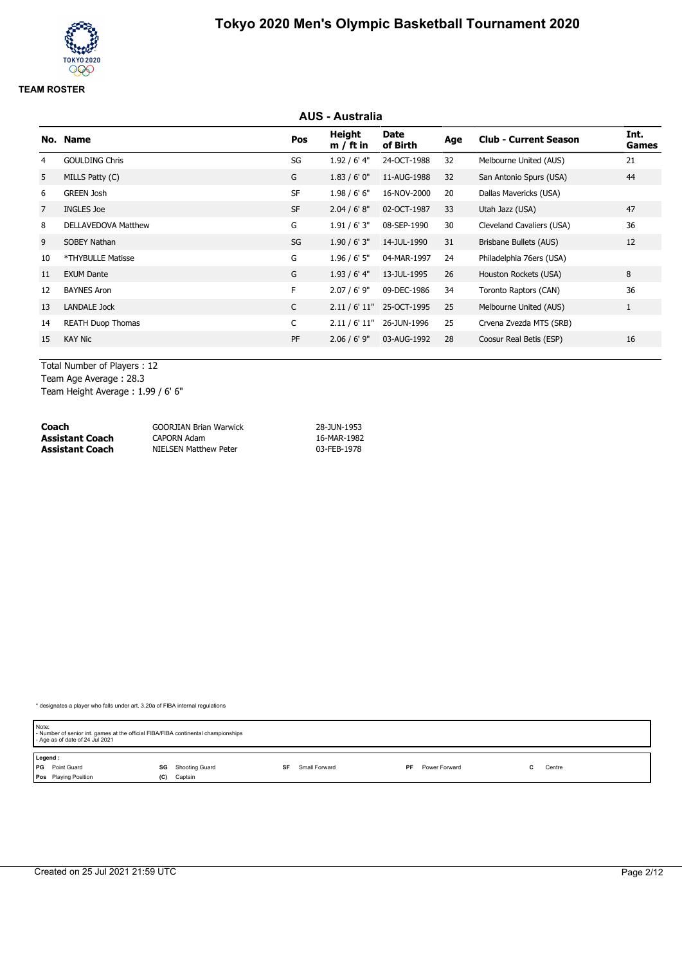# **AUS - Australia No. Name Pos Height m / ft in Date of Birth Age Club - Current Season Int. Games** 4 GOULDING Chris Chris Chris Communication SG 21.92 / 6' 4" 24-OCT-1988 32 Melbourne United (AUS) 21 5 MILLS Patty (C) G 1.83 / 6' 0" 11-AUG-1988 32 San Antonio Spurs (USA) 44 6 GREEN Josh SF 1.98 / 6' 6" 16-NOV-2000 20 Dallas Mavericks (USA) 7 INGLES Joe SF 2.04 / 6' 8" 02-OCT-1987 33 Utah Jazz (USA) 47 8 DELLAVEDOVA Matthew C 6 1.91 / 6' 3" 08-SEP-1990 30 Cleveland Cavaliers (USA) 36 9 SOBEY Nathan SG 1.90 / 6' 3" 14-JUL-1990 31 Brisbane Bullets (AUS) 12 10 \*THYBULLE Matisse G 1.96 / 6' 5" 04-MAR-1997 24 Philadelphia 76ers (USA) 11 EXUM Dante G 1.93 / 6' 4" 13-JUL-1995 26 Houston Rockets (USA) 8 12 BAYNES Aron F 2.07 / 6' 9" 09-DEC-1986 34 Toronto Raptors (CAN) 36 13 LANDALE Jock C 2.11 / 6' 11" 25-OCT-1995 25 Melbourne United (AUS) 1 14 REATH Duop Thomas C 2.11 / 6' 11" 26-JUN-1996 25 Crvena Zvezda MTS (SRB) 15 KAY Nic PF 2.06 / 6' 9" 03-AUG-1992 28 Coosur Real Betis (ESP) 16

Total Number of Players : 12

Team Age Average : 28.3 Team Height Average : 1.99 / 6' 6"

| Coach           | <b>GOORJIAN Brian Warwick</b> | 28-JUN-1953 |
|-----------------|-------------------------------|-------------|
| Assistant Coach | CAPORN Adam                   | 16-MAR-1982 |
| Assistant Coach | NIELSEN Matthew Peter         | 03-FEB-1978 |

| Note:<br>- Number of senior int. games at the official FIBA/FIBA continental championships<br>- Age as of date of 24 Jul 2021 |                      |                     |                     |        |  |  |
|-------------------------------------------------------------------------------------------------------------------------------|----------------------|---------------------|---------------------|--------|--|--|
| Legend:                                                                                                                       |                      |                     |                     |        |  |  |
| <b>PG</b> Point Guard                                                                                                         | Shooting Guard<br>SG | Small Forward<br>SF | Power Forward<br>PF | Centre |  |  |
| <b>Pos</b> Playing Position                                                                                                   | Captain<br>(C)       |                     |                     |        |  |  |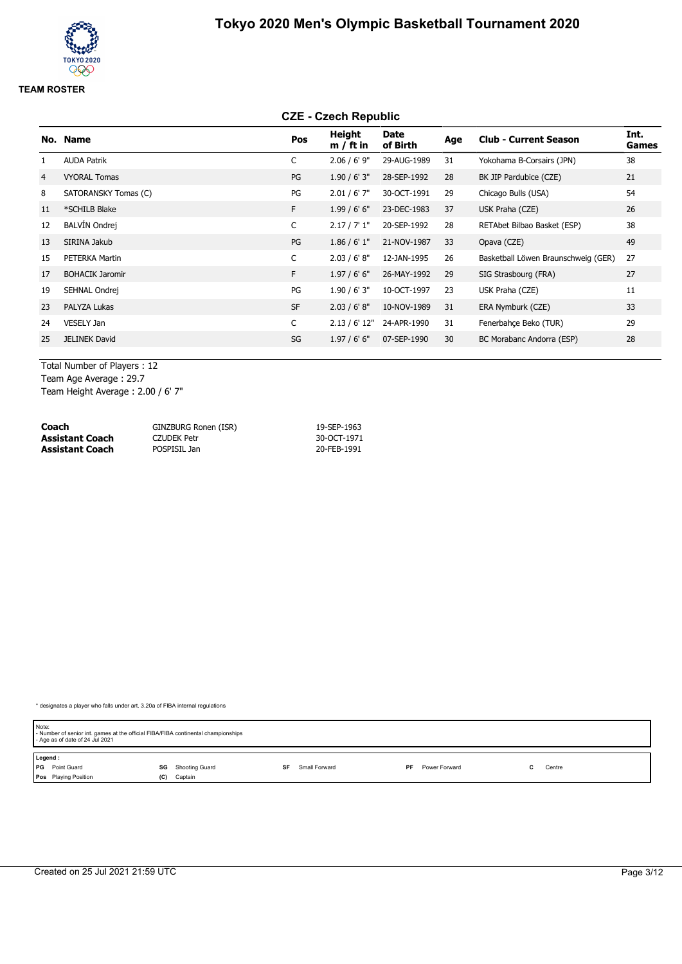# **CZE - Czech Republic**

|                | No. Name               | Pos          | Height<br>$m / ft$ in | Date<br>of Birth | Age | <b>Club - Current Season</b>        | Int.<br><b>Games</b> |
|----------------|------------------------|--------------|-----------------------|------------------|-----|-------------------------------------|----------------------|
| 1              | <b>AUDA Patrik</b>     | C            | $2.06 / 6'$ 9"        | 29-AUG-1989      | 31  | Yokohama B-Corsairs (JPN)           | 38                   |
| $\overline{4}$ | <b>VYORAL Tomas</b>    | PG           | 1.90/6'3''            | 28-SEP-1992      | 28  | BK JIP Pardubice (CZE)              | 21                   |
| 8              | SATORANSKY Tomas (C)   | PG           | $2.01 / 6'$ 7"        | 30-OCT-1991      | 29  | Chicago Bulls (USA)                 | 54                   |
| 11             | *SCHILB Blake          | F.           | 1.99/6'6''            | 23-DEC-1983      | 37  | USK Praha (CZE)                     | 26                   |
| 12             | <b>BALVÍN Ondrej</b>   | $\mathsf{C}$ | 2.17 / 7' 1''         | 20-SEP-1992      | 28  | RETAbet Bilbao Basket (ESP)         | 38                   |
| 13             | SIRINA Jakub           | PG           | 1.86 / 6' 1''         | 21-NOV-1987      | 33  | Opava (CZE)                         | 49                   |
| 15             | PETERKA Martin         | C            | 2.03 / 6' 8''         | 12-JAN-1995      | 26  | Basketball Löwen Braunschweig (GER) | 27                   |
| 17             | <b>BOHACIK Jaromir</b> | F.           | 1.97/6'6''            | 26-MAY-1992      | 29  | SIG Strasbourg (FRA)                | 27                   |
| 19             | SEHNAL Ondrej          | PG           | 1.90/6'3''            | 10-OCT-1997      | 23  | USK Praha (CZE)                     | 11                   |
| 23             | PALYZA Lukas           | <b>SF</b>    | 2.03 / 6' 8''         | 10-NOV-1989      | 31  | ERA Nymburk (CZE)                   | 33                   |
| 24             | VESELY Jan             | $\mathsf{C}$ | 2.13 / 6' 12"         | 24-APR-1990      | 31  | Fenerbahce Beko (TUR)               | 29                   |
| 25             | <b>JELINEK David</b>   | SG           | 1.97/6'6''            | 07-SEP-1990      | 30  | BC Morabanc Andorra (ESP)           | 28                   |
|                |                        |              |                       |                  |     |                                     |                      |

Total Number of Players : 12 Team Age Average : 29.7

Team Height Average : 2.00 / 6' 7"

| Coach                  | GINZBURG Ronen (ISR) | 19-SEP-1963 |
|------------------------|----------------------|-------------|
| <b>Assistant Coach</b> | CZUDEK Petr          | 30-OCT-1971 |
| <b>Assistant Coach</b> | POSPISIL Jan         | 20-FEB-1991 |

| Note:<br>- Number of senior int. games at the official FIBA/FIBA continental championships<br>- Age as of date of 24 Jul 2021 |                      |                     |                     |        |  |  |
|-------------------------------------------------------------------------------------------------------------------------------|----------------------|---------------------|---------------------|--------|--|--|
| Legend:                                                                                                                       |                      |                     |                     |        |  |  |
| <b>PG</b> Point Guard                                                                                                         | Shooting Guard<br>SG | Small Forward<br>SF | Power Forward<br>PF | Centre |  |  |
| <b>Pos</b> Playing Position                                                                                                   | Captain<br>(C)       |                     |                     |        |  |  |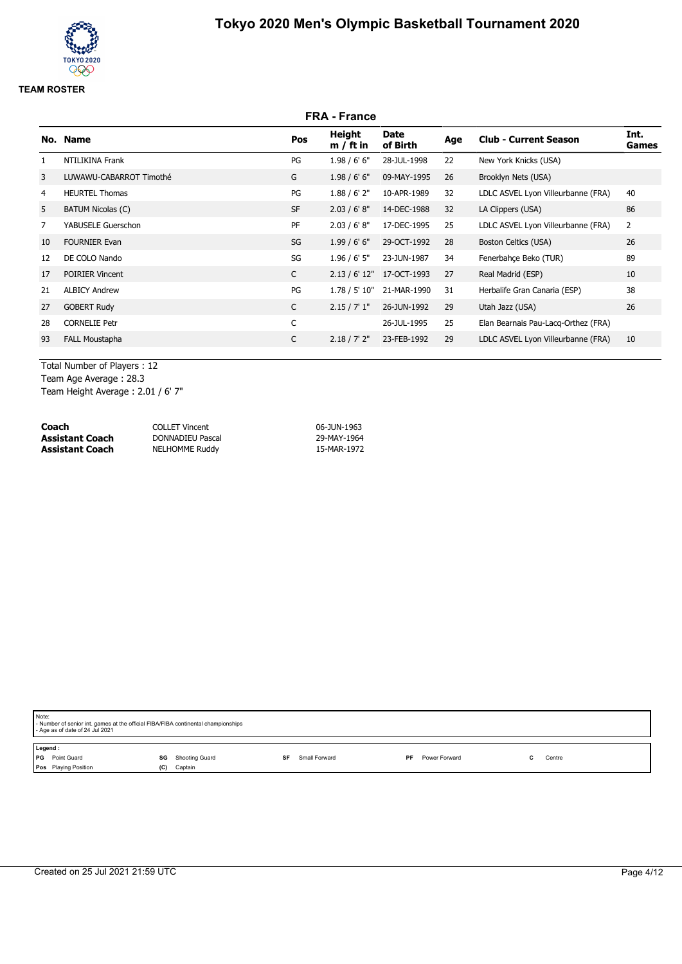## **FRA - France No. Name Pos Height m / ft in Date of Birth Age Club - Current Season Int. Games** 1 NTILIKINA Frank PG 1.98 / 6' 6" 28-JUL-1998 22 New York Knicks (USA) 3 LUWAWU-CABARROT Timothé G 1.98 / 6' 6" 09-MAY-1995 26 Brooklyn Nets (USA) 4 HEURTEL Thomas 2000 1.88 / 6' 2" 10-APR-1989 32 LDLC ASVEL Lyon Villeurbanne (FRA) 40 5 BATUM Nicolas (C) 68 SF 2.03 / 6' 8" 14-DEC-1988 32 LA Clippers (USA) 86 7 YABUSELE Guerschon PF 2.03 / 6' 8" 17-DEC-1995 25 LDLC ASVEL Lyon Villeurbanne (FRA) 2 10 FOURNIER Evan SG 1.99 / 6' 6" 29-OCT-1992 28 Boston Celtics (USA) 26 12 DE COLO Nando SG 1.96 / 6' 5" 23-JUN-1987 34 Fenerbahçe Beko (TUR) 89 17 POIRIER Vincent C 2.13 / 6' 12" 17-OCT-1993 27 Real Madrid (ESP) 10 21 ALBICY Andrew **PG** 1.78 / 5' 10" 21-MAR-1990 31 Herbalife Gran Canaria (ESP) 38 27 GOBERT Rudy C 2.15 / 7' 1" 26-JUN-1992 29 Utah Jazz (USA) 26 28 CORNELIE Petr C 26-JUL-1995 25 Elan Bearnais Pau-Lacq-Orthez (FRA) 93 FALL Moustapha C 2.18 / 7' 2" 23-FEB-1992 29 LDLC ASVEL Lyon Villeurbanne (FRA) 10

Total Number of Players : 12 Team Age Average : 28.3

Team Height Average : 2.01 / 6' 7"

| Coach           | <b>COLLET Vincent</b> | 06-JUN-1963 |
|-----------------|-----------------------|-------------|
| Assistant Coach | DONNADIEU Pascal      | 29-MAY-1964 |
| Assistant Coach | <b>NELHOMME Ruddy</b> | 15-MAR-1972 |

| Note:<br>- Number of senior int. games at the official FIBA/FIBA continental championships<br>- Age as of date of 24 Jul 2021 |                                            |           |               |    |               |  |        |
|-------------------------------------------------------------------------------------------------------------------------------|--------------------------------------------|-----------|---------------|----|---------------|--|--------|
| Legend:<br><b>PG</b> Point Guard<br>Pos Playing Position                                                                      | <b>SG</b> Shooting Guard<br>Captain<br>(C) | <b>SF</b> | Small Forward | PF | Power Forward |  | Centre |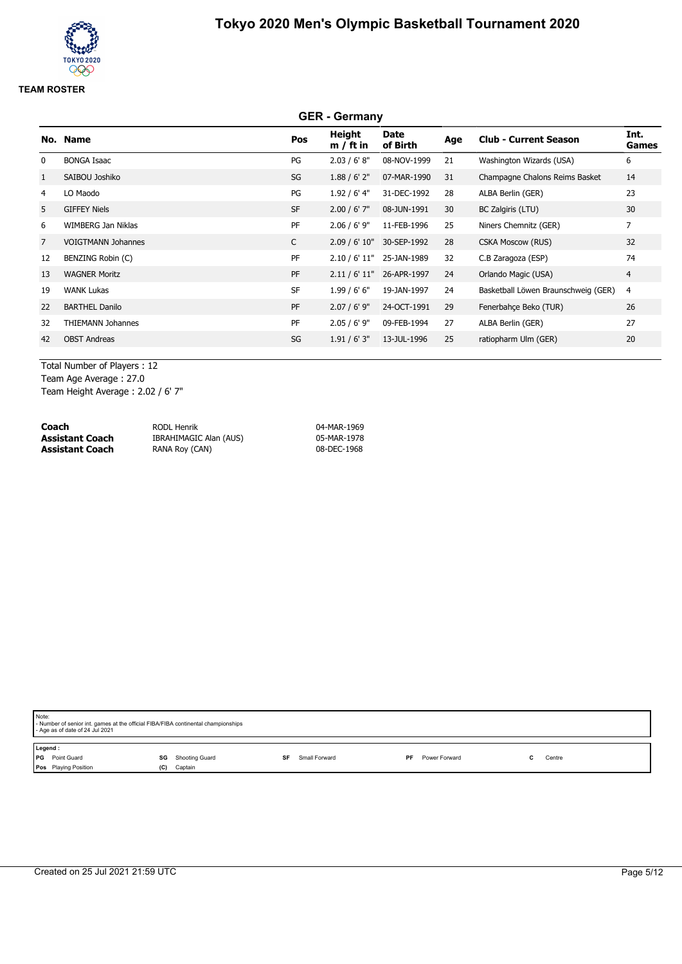# **GER - Germany No. Name Pos Height m / ft in Date of Birth Age Club - Current Season Int. Games** 0 BONGA Isaac 6 6 and 10 and 10 and 10 and 10 and 10 and 10 and 10 and 10 and 10 and 10 and 10 and 10 and 10 and 10 and 10 and 10 and 10 and 10 and 10 and 10 and 10 and 10 and 10 and 10 and 10 and 10 and 10 and 10 and 10 a 1 SAIBOU Joshiko SG 1.88 / 6' 2" 07-MAR-1990 31 Champagne Chalons Reims Basket 14 4 LO Maodo PG 1.92 / 6' 4" 31-DEC-1992 28 ALBA Berlin (GER) 23 5 GIFFEY Niels 30 SF 2.00 / 6' 7" 08-JUN-1991 30 BC Zalgiris (LTU) 30 6 WIMBERG Jan Niklas PF 2.06 / 6' 9" 11-FEB-1996 25 Niners Chemnitz (GER) 7 7 VOIGTMANN Johannes C 2.09 / 6' 10" 30-SEP-1992 28 CSKA Moscow (RUS) 32 12 BENZING Robin (C) PF 2.10 / 6' 11" 25-JAN-1989 32 C.B Zaragoza (ESP) 74 13 WAGNER Moritz **PF** 2.11 / 6' 11" 26-APR-1997 24 Orlando Magic (USA) 4 19 WANK Lukas SF 1.99 / 6' 6" 19-JAN-1997 24 Basketball Löwen Braunschweig (GER) 4 22 BARTHEL Danilo 26 CHA 2.07 / 6' 9" 24-OCT-1991 29 Fenerbahçe Beko (TUR) 26 32 THIEMANN Johannes PF 2.05 / 6' 9" 09-FEB-1994 27 ALBA Berlin (GER) 27 42 OBST Andreas SG 1.91 / 6' 3" 13-JUL-1996 25 ratiopharm Ulm (GER) 20

Total Number of Players : 12 Team Age Average : 27.0

Team Height Average : 2.02 / 6' 7"

| Coach                  | RODL Henrik            | 04-MAR-1969 |
|------------------------|------------------------|-------------|
| <b>Assistant Coach</b> | IBRAHIMAGIC Alan (AUS) | 05-MAR-1978 |
| Assistant Coach        | RANA Roy (CAN)         | 08-DEC-1968 |

| Note:<br>- Number of senior int. games at the official FIBA/FIBA continental championships<br>- Age as of date of 24 Jul 2021 |                                        |                     |                     |        |  |  |
|-------------------------------------------------------------------------------------------------------------------------------|----------------------------------------|---------------------|---------------------|--------|--|--|
| Legend:<br><b>PG</b> Point Guard<br>Pos Playing Position                                                                      | Shooting Guard<br>SG<br>Captain<br>(C) | Small Forward<br>SF | Power Forward<br>PF | Centre |  |  |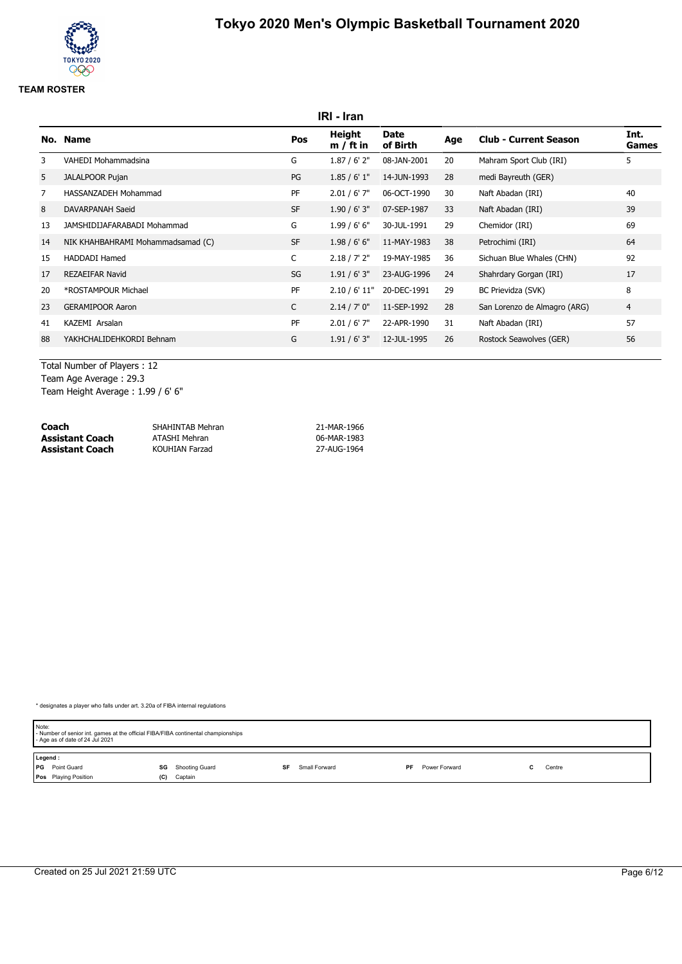## **IRI - Iran No. Name Pos Height m / ft in Date of Birth Age Club - Current Season Int. Games** 3 VAHEDI Mohammadsina G 1.87 / 6' 2" 08-JAN-2001 20 Mahram Sport Club (IRI) 5 5 JALALPOOR Pujan PG 1.85 / 6' 1" 14-JUN-1993 28 medi Bayreuth (GER) 7 HASSANZADEH Mohammad PF 2.01 / 6' 7" 06-OCT-1990 30 Naft Abadan (IRI) 40 8 DAVARPANAH Saeid ST 1.90 / 6' 3" 07-SEP-1987 33 Naft Abadan (IRI) 39 13 JAMSHIDIJAFARABADI Mohammad G 1.99 / 6' 6" 30-JUL-1991 29 Chemidor (IRI) 69 14 NIK KHAHBAHRAMI Mohammadsamad (C) SF 1.98 / 6' 6" 11-MAY-1983 38 Petrochimi (IRI) 64 15 HADDADI Hamed C 2.18 / 7' 2" 19-MAY-1985 36 Sichuan Blue Whales (CHN) 92 17 REZAEIFAR Navid SG 1.91 / 6' 3" 23-AUG-1996 24 Shahrdary Gorgan (IRI) 17 20 \*ROSTAMPOUR Michael PF 2.10 / 6' 11" 20-DEC-1991 29 BC Prievidza (SVK) 8 23 GERAMIPOOR Aaron 2.14 / 7' 0" 11-SEP-1992 28 San Lorenzo de Almagro (ARG) 4 41 KAZEMI Arsalan PF 2.01 / 6' 7" 22-APR-1990 31 Naft Abadan (IRI) 57 88 YAKHCHALIDEHKORDI Behnam G 1.91 / 6' 3" 12-JUL-1995 26 Rostock Seawolves (GER) 56

Total Number of Players : 12 Team Age Average : 29.3 Team Height Average : 1.99 / 6' 6"

| Coach                  | SHAHINTAB Mehran      | 21-MAR-1966 |
|------------------------|-----------------------|-------------|
| <b>Assistant Coach</b> | ATASHI Mehran         | 06-MAR-1983 |
| <b>Assistant Coach</b> | <b>KOUHIAN Farzad</b> | 27-AUG-1964 |

| Note: | - Number of senior int. games at the official FIBA/FIBA continental championships<br>- Age as of date of 24 Jul 2021 |     |                |    |               |     |               |  |        |  |
|-------|----------------------------------------------------------------------------------------------------------------------|-----|----------------|----|---------------|-----|---------------|--|--------|--|
|       | Legend:                                                                                                              |     |                |    |               |     |               |  |        |  |
|       | <b>PG</b> Point Guard                                                                                                | SG  | Shooting Guard | SF | Small Forward | PF. | Power Forward |  | Centre |  |
|       | <b>Pos</b> Playing Position                                                                                          | (C) | Captain        |    |               |     |               |  |        |  |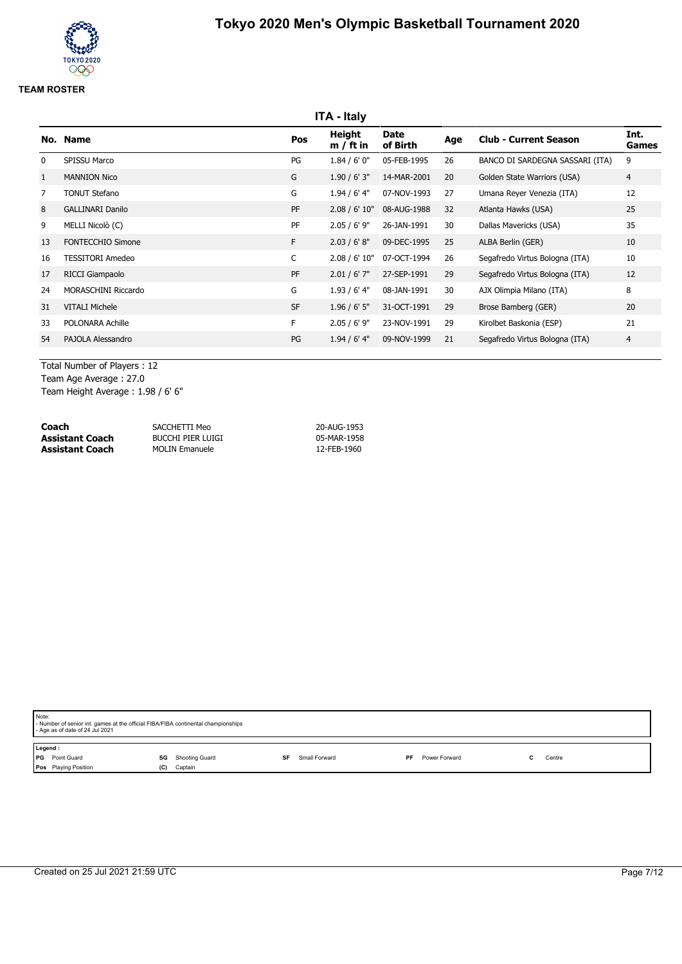# **ITA - Italy No. Name Pos Height m / ft in Date of Birth Age Club - Current Season Int. Games** 0 SPISSU Marco PG 1.84 / 6' 0" 05-FEB-1995 26 BANCO DI SARDEGNA SASSARI (ITA) 9 1 MANNION Nico G 1.90 / 6' 3" 14-MAR-2001 20 Golden State Warriors (USA) 4 7 TONUT Stefano G 1.94 / 6' 4" 07-NOV-1993 27 Umana Reyer Venezia (ITA) 12 8 GALLINARI Danilo PF 2.08 / 6' 10" 08-AUG-1988 32 Atlanta Hawks (USA) 25 9 MELLI Nicolò (C) PF 2.05 / 6' 9" 26-JAN-1991 30 Dallas Mavericks (USA) 35 13 FONTECCHIO Simone F 2.03 / 6' 8" 09-DEC-1995 25 ALBA Berlin (GER) 10 16 TESSITORI Amedeo C 2.08 / 6' 10" 07-OCT-1994 26 Segafredo Virtus Bologna (ITA) 10 17 RICCI Giampaolo PF 2.01 / 6' 7" 27-SEP-1991 29 Segafredo Virtus Bologna (ITA) 12 24 MORASCHINI Riccardo G 1.93 / 6' 4" 08-JAN-1991 30 AJX Olimpia Milano (ITA) 8 31 VITALI Michele ST 20 SF 1.96 / 6' 5" 31-OCT-1991 29 Brose Bamberg (GER) 20 33 POLONARA Achille F 2.05 / 6' 9" 23-NOV-1991 29 Kirolbet Baskonia (ESP) 21 54 PAJOLA Alessandro PG 1.94 / 6' 4" 09-NOV-1999 21 Segafredo Virtus Bologna (ITA) 4

Total Number of Players : 12 Team Age Average : 27.0

Team Height Average : 1.98 / 6' 6"

| Coach           | SACCHETTI Meo         | 20-AUG-1953 |
|-----------------|-----------------------|-------------|
| Assistant Coach | Bucchi Pier Luigi     | 05-MAR-1958 |
| Assistant Coach | <b>MOLIN Emanuele</b> | 12-FEB-1960 |

| Note:   | - Number of senior int. games at the official FIBA/FIBA continental championships<br>- Age as of date of 24 Jul 2021 |     |                |    |               |    |               |  |        |  |
|---------|----------------------------------------------------------------------------------------------------------------------|-----|----------------|----|---------------|----|---------------|--|--------|--|
| Legend: | <b>PG</b> Point Guard                                                                                                | SG  | Shooting Guard | SF | Small Forward | PF | Power Forward |  | Centre |  |
|         | Pos Playing Position                                                                                                 | (C) | Captain        |    |               |    |               |  |        |  |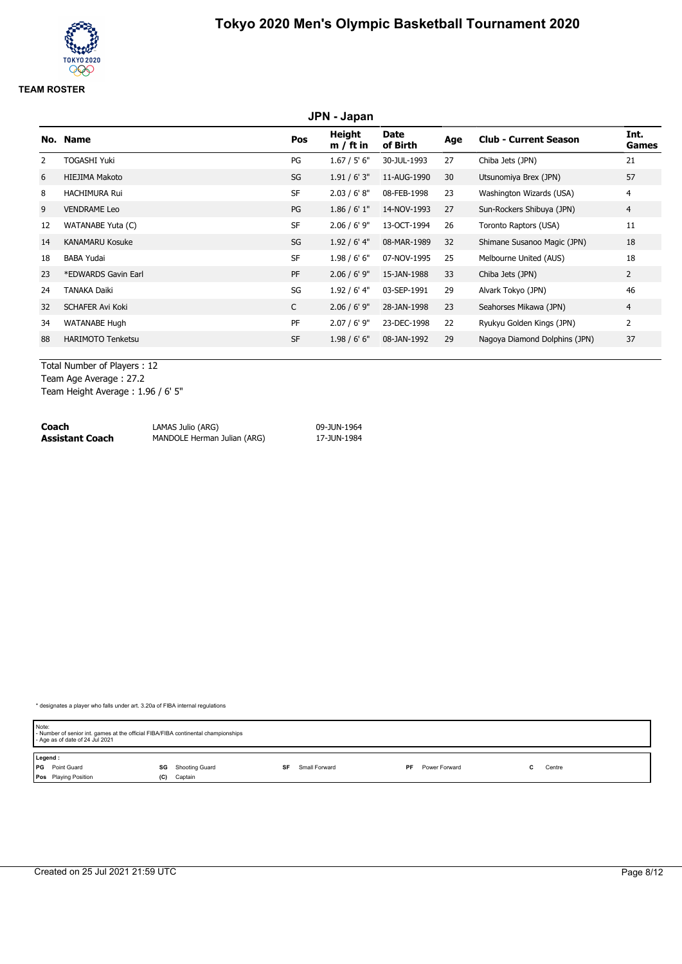## **JPN - Japan No. Name Pos Height m / ft in Date of Birth Age Club - Current Season Int. Games** 2 TOGASHI Yuki PG 1.67 / 5' 6" 30-JUL-1993 27 Chiba Jets (JPN) 21 6 HIEJIMA Makoto SG 1.91 / 6' 3" 11-AUG-1990 30 Utsunomiya Brex (JPN) 57 8 HACHIMURA Rui SF 2.03 / 6' 8" 08-FEB-1998 23 Washington Wizards (USA) 4 9 VENDRAME Leo PG 1.86 / 6' 1" 14-NOV-1993 27 Sun-Rockers Shibuya (JPN) 4 12 WATANABE Yuta (C) SF 2.06 / 6' 9" 13-OCT-1994 26 Toronto Raptors (USA) 11 14 KANAMARU Kosuke SG 1.92 / 6' 4" 08-MAR-1989 32 Shimane Susanoo Magic (JPN) 18 18 BABA Yudai 18 CHABA 1.98 / 6' 6" 07-NOV-1995 25 Melbourne United (AUS) 18 23 \*EDWARDS Gavin Earl 2002 Chiba Jets (JPN) 22 \* PF 2.06 / 6' 9" 15-JAN-1988 33 Chiba Jets (JPN) 2 24 TANAKA Daiki 2012 1.92 / 6' 4" 03-SEP-1991 29 Alvark Tokyo (JPN) 32 SCHAFER Avi Koki **C** 2.06 / 6' 9" 28-JAN-1998 23 Seahorses Mikawa (JPN) 4 34 WATANABE Hugh PF 2.07 / 6' 9" 23-DEC-1998 22 Ryukyu Golden Kings (JPN) 2 88 HARIMOTO Tenketsu SF 1.98 / 6' 6" 08-JAN-1992 29 Nagoya Diamond Dolphins (JPN) 37

Total Number of Players : 12

Team Age Average : 27.2

Team Height Average : 1.96 / 6' 5"

| Coach           | LAMAS Julio (ARG)           | 09-JUN-1964 |
|-----------------|-----------------------------|-------------|
| Assistant Coach | MANDOLE Herman Julian (ARG) | 17-JUN-1984 |

| Note:   | - Number of senior int. games at the official FIBA/FIBA continental championships<br>- Age as of date of 24 Jul 2021 |     |                |    |               |     |               |  |        |  |
|---------|----------------------------------------------------------------------------------------------------------------------|-----|----------------|----|---------------|-----|---------------|--|--------|--|
| Legend: |                                                                                                                      |     |                |    |               |     |               |  |        |  |
|         | <b>PG</b> Point Guard                                                                                                | SG  | Shooting Guard | SF | Small Forward | PF. | Power Forward |  | Centre |  |
|         | Pos Playing Position                                                                                                 | (C) | Captain        |    |               |     |               |  |        |  |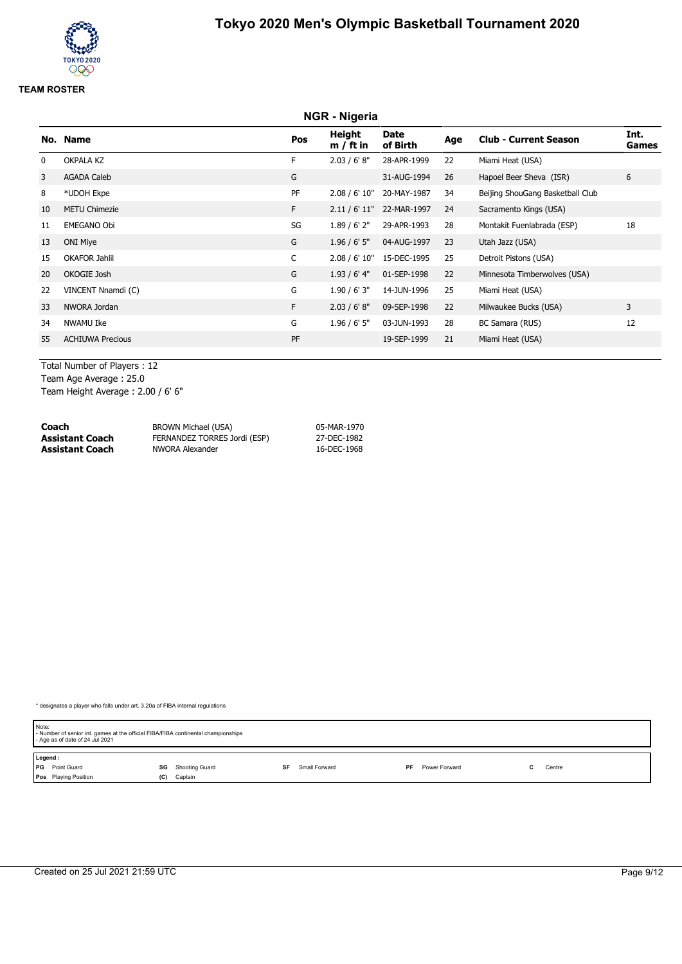## **NGR - Nigeria No. Name Pos Height m / ft in Date of Birth Age Club - Current Season Int. Games** 0 OKPALA KZ **F** 2.03 / 6' 8" 28-APR-1999 22 Miami Heat (USA) 3 AGADA Caleb G 31-AUG-1994 26 Hapoel Beer Sheva (ISR) 6 8 \*UDOH Ekpe PF 2.08 / 6' 10" 20-MAY-1987 34 Beijing ShouGang Basketball Club 10 METU Chimezie F 2.11 / 6' 11" 22-MAR-1997 24 Sacramento Kings (USA) 11 EMEGANO Obi SG 1.89 / 6' 2" 29-APR-1993 28 Montakit Fuenlabrada (ESP) 18 13 ONI Miye G 1.96 / 6' 5" 04-AUG-1997 23 Utah Jazz (USA) 15 OKAFOR Jahlil C 2.08 / 6' 10" 15-DEC-1995 25 Detroit Pistons (USA) 20 OKOGIE Josh G 1.93 / 6' 4" 01-SEP-1998 22 Minnesota Timberwolves (USA) 22 VINCENT Nnamdi (C) COM CONTROLLED COM CONTROLLED 1.90 / 6' 3" 14-JUN-1996 25 Miami Heat (USA) 33 NWORA Jordan F 2.03 / 6' 8" 09-SEP-1998 22 Milwaukee Bucks (USA) 3 34 NWAMU Ike G 1.96 / 6' 5" 03-JUN-1993 28 BC Samara (RUS) 12 55 ACHIUWA Precious PF 19-SEP-1999 21 Miami Heat (USA)

Total Number of Players : 12

Team Age Average : 25.0

Team Height Average : 2.00 / 6' 6"

| Coach                  | BROWN Michael (USA)          | 05-MAR-1970 |
|------------------------|------------------------------|-------------|
| <b>Assistant Coach</b> | FERNANDEZ TORRES Jordi (ESP) | 27-DEC-1982 |
| <b>Assistant Coach</b> | NWORA Alexander              | 16-DEC-1968 |

| Note:<br>- Number of senior int. games at the official FIBA/FIBA continental championships<br>- Age as of date of 24 Jul 2021 |                      |                     |                     |        |  |  |
|-------------------------------------------------------------------------------------------------------------------------------|----------------------|---------------------|---------------------|--------|--|--|
| Legend:                                                                                                                       |                      |                     |                     |        |  |  |
| <b>PG</b> Point Guard                                                                                                         | Shooting Guard<br>SG | Small Forward<br>SF | Power Forward<br>PF | Centre |  |  |
| <b>Pos</b> Playing Position                                                                                                   | Captain<br>(C)       |                     |                     |        |  |  |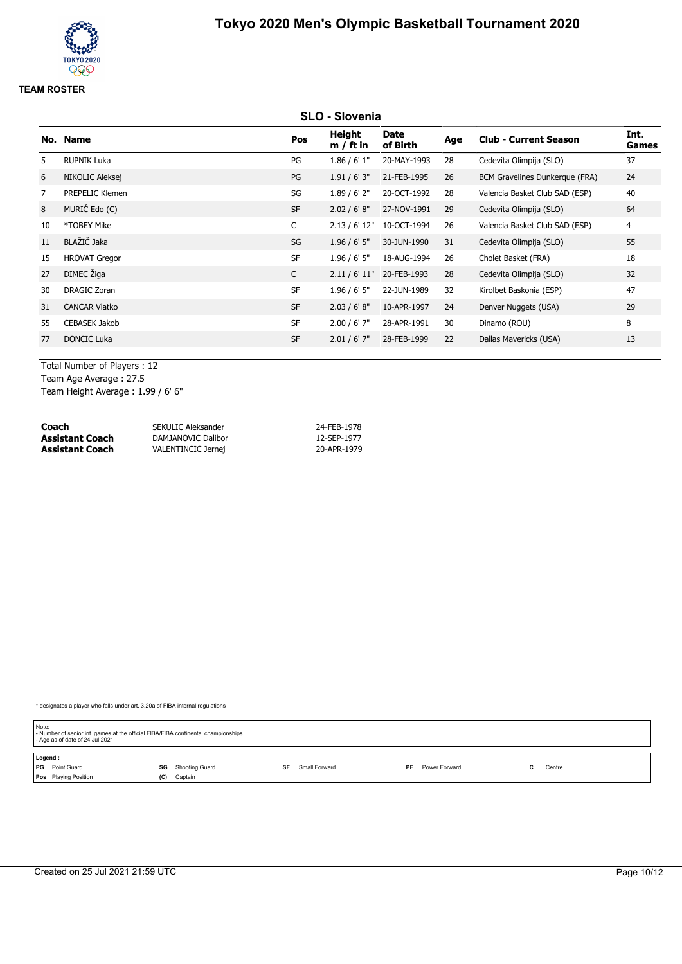# **SLO - Slovenia No. Name Pos Height m / ft in Date of Birth Age Club - Current Season Int. Games** 5 RUPNIK Luka PG 1.86 / 6' 1" 20-MAY-1993 28 Cedevita Olimpija (SLO) 37 6 NIKOLIC Aleksej PG 1.91 / 6' 3" 21-FEB-1995 26 BCM Gravelines Dunkerque (FRA) 24 7 PREPELIC Klemen SG 1.89 / 6' 2" 20-OCT-1992 28 Valencia Basket Club SAD (ESP) 40 8 MURIĆ Edo (C) SF 2.02 / 6' 8" 27-NOV-1991 29 Cedevita Olimpija (SLO) 64 10 \*TOBEY Mike C 2.13 / 6' 12" 10-OCT-1994 26 Valencia Basket Club SAD (ESP) 4 11 BLAŽIČ Jaka SG 1.96 / 6' 5" 30-JUN-1990 31 Cedevita Olimpija (SLO) 55 15 HROVAT Gregor 1.96 / 6' 5" 1.96 / 6' 5" 1.96 / 6' 5" 18-AUG-1994 26 Cholet Basket (FRA) 18 <sup>27</sup> DIMEC Žiga <sup>C</sup> 2.11 / 6' 11" 20-FEB-1993 <sup>28</sup> Cedevita Olimpija (SLO) <sup>32</sup> 30 DRAGIC Zoran SF 1.96 / 6' 5" 22-JUN-1989 32 Kirolbet Baskonia (ESP) 47 31 CANCAR Vlatko SF 2.03 / 6' 8" 10-APR-1997 24 Denver Nuggets (USA) 29 55 CEBASEK Jakob SF 2.00 / 6' 7" 28-APR-1991 30 Dinamo (ROU) 8 77 DONCIC Luka SF 2.01 / 6' 7" 28-FEB-1999 22 Dallas Mavericks (USA) 13

Total Number of Players : 12 Team Age Average : 27.5

Team Height Average : 1.99 / 6' 6"

| Coach                  | SEKULIC Aleksander | 24-FEB-1978 |
|------------------------|--------------------|-------------|
| <b>Assistant Coach</b> | DAMJANOVIC Dalibor | 12-SEP-1977 |
| <b>Assistant Coach</b> | VALENTINCIC Jernej | 20-APR-1979 |

| Note: | - Number of senior int. games at the official FIBA/FIBA continental championships<br>- Age as of date of 24 Jul 2021 |     |                |    |               |    |               |        |  |
|-------|----------------------------------------------------------------------------------------------------------------------|-----|----------------|----|---------------|----|---------------|--------|--|
|       | Legend:                                                                                                              |     |                |    |               |    |               |        |  |
|       | PG Point Guard                                                                                                       | SG  | Shooting Guard | SF | Small Forward | PF | Power Forward | Centre |  |
|       | Pos Playing Position                                                                                                 | (C) | Captain        |    |               |    |               |        |  |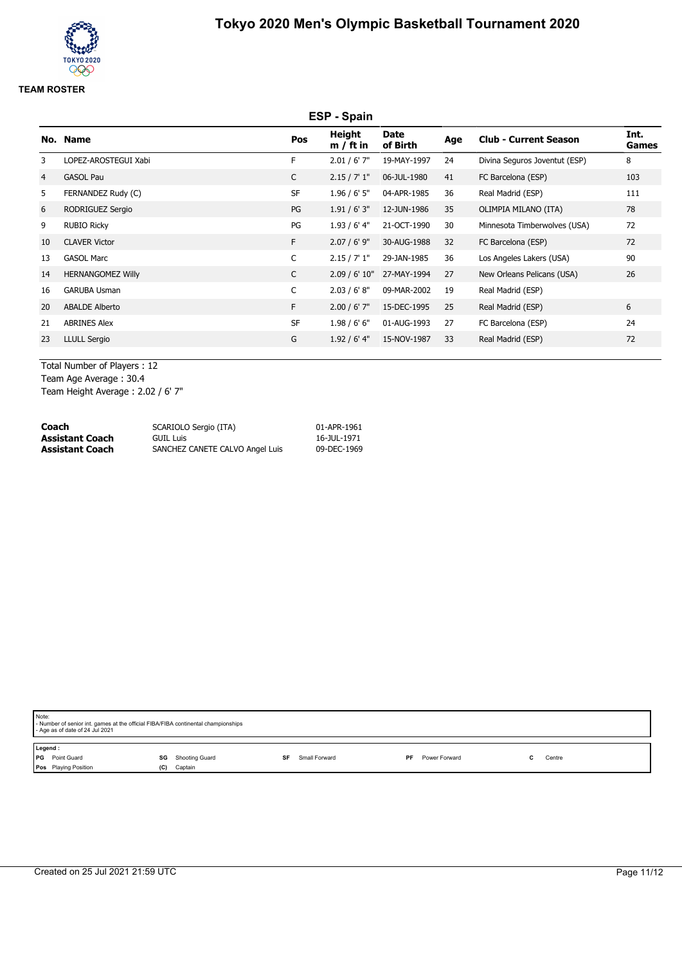# **ESP - Spain No. Name Pos Height m / ft in Date of Birth Age Club - Current Season Int. Games** 3 LOPEZ-AROSTEGUI Xabi F 2.01 / 6' 7" 19-MAY-1997 24 Divina Seguros Joventut (ESP) 8 4 GASOL Pau C 2.15 / 7' 1" 06-JUL-1980 41 FC Barcelona (ESP) 103 5 FERNANDEZ Rudy (C) 6 SF 1.96 / 6' 5" 04-APR-1985 36 Real Madrid (ESP) 111 6 RODRIGUEZ Sergio PG 1.91 / 6' 3" 12-JUN-1986 35 OLIMPIA MILANO (ITA) 78 9 RUBIO Ricky PG 1.93 / 6' 4" 21-OCT-1990 30 Minnesota Timberwolves (USA) 72 10 CLAVER Victor F 2.07 / 6' 9" 30-AUG-1988 32 FC Barcelona (ESP) 72 13 GASOL Marc C 2.15 / 7' 1" 29-JAN-1985 36 Los Angeles Lakers (USA) 90 14 HERNANGOMEZ Willy C 2.09 / 6' 10" 27-MAY-1994 27 New Orleans Pelicans (USA) 26 16 GARUBA Usman C 2.03 / 6' 8" 09-MAR-2002 19 Real Madrid (ESP) 20 ABALDE Alberto F 2.00 / 6' 7" 15-DEC-1995 25 Real Madrid (ESP) 6 21 ABRINES Alex **SF** 1.98 / 6' 6" 01-AUG-1993 27 FC Barcelona (ESP) 24 23 LLULL Sergio G 1.92 / 6' 4" 15-NOV-1987 33 Real Madrid (ESP) 72

Total Number of Players : 12 Team Age Average : 30.4 Team Height Average : 2.02 / 6' 7"

| Coach           | SCARIOLO Sergio (ITA)           | 01-APR-1961 |
|-----------------|---------------------------------|-------------|
| Assistant Coach | GUIL Luis                       | 16-JUL-1971 |
| Assistant Coach | SANCHEZ CANETE CALVO Angel Luis | 09-DEC-1969 |

| Note:<br>- Number of senior int. games at the official FIBA/FIBA continental championships<br>- Age as of date of 24 Jul 2021 |                                            |                     |                            |        |  |  |  |  |  |
|-------------------------------------------------------------------------------------------------------------------------------|--------------------------------------------|---------------------|----------------------------|--------|--|--|--|--|--|
| Legend:<br><b>PG</b> Point Guard<br>Pos Playing Position                                                                      | <b>SG</b> Shooting Guard<br>Captain<br>(C) | Small Forward<br>SF | Power Forward<br><b>PF</b> | Centre |  |  |  |  |  |